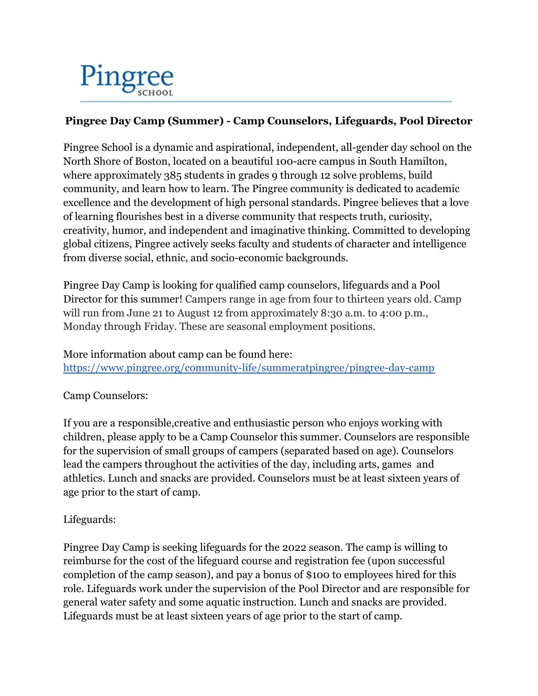

## **Pingree Day Camp (Summer) - Camp Counselors, Lifeguards, Pool Director**

Pingree School is a dynamic and aspirational, independent, all-gender day school on the North Shore of Boston, located on a beautiful 100-acre campus in South Hamilton, where approximately 385 students in grades 9 through 12 solve problems, build community, and learn how to learn. The Pingree community is dedicated to academic excellence and the development of high personal standards. Pingree believes that a love of learning flourishes best in a diverse community that respects truth, curiosity, creativity, humor, and independent and imaginative thinking. Committed to developing global citizens, Pingree actively seeks faculty and students of character and intelligence from diverse social, ethnic, and socio-economic backgrounds.

Pingree Day Camp is looking for qualified camp counselors, lifeguards and a Pool Director for this summer! Campers range in age from four to thirteen years old. Camp will run from June 21 to August 12 from approximately 8:30 a.m. to 4:00 p.m., Monday through Friday. These are seasonal employment positions.

More information about camp can be found here:

<https://www.pingree.org/community-life/summeratpingree/pingree-day-camp>

Camp Counselors:

If you are a responsible,creative and enthusiastic person who enjoys working with children, please apply to be a Camp Counselor this summer. Counselors are responsible for the supervision of small groups of campers (separated based on age). Counselors lead the campers throughout the activities of the day, including arts, games and athletics. Lunch and snacks are provided. Counselors must be at least sixteen years of age prior to the start of camp.

## Lifeguards:

Pingree Day Camp is seeking lifeguards for the 2022 season. The camp is willing to reimburse for the cost of the lifeguard course and registration fee (upon successful completion of the camp season), and pay a bonus of \$100 to employees hired for this role. Lifeguards work under the supervision of the Pool Director and are responsible for general water safety and some aquatic instruction. Lunch and snacks are provided. Lifeguards must be at least sixteen years of age prior to the start of camp.